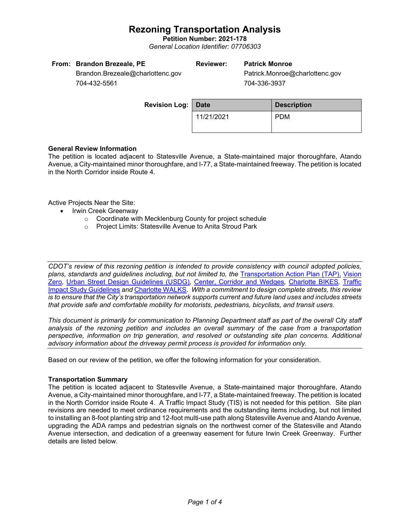**Petition Number: 2021-178** *General Location Identifier: 07706303*

| From: Brandon Brezeale, PE       | <b>Reviewer:</b> | <b>Patrick Monroe</b>          |
|----------------------------------|------------------|--------------------------------|
| Brandon.Brezeale@charlottenc.gov |                  | Patrick.Monroe@charlottenc.gov |
| 704-432-5561                     |                  | 704-336-3937                   |

704-432-5561

**Revision Log:** Date **Description** 11/21/2021 PDM

## **General Review Information**

The petition is located adjacent to Statesville Avenue, a State-maintained major thoroughfare, Atando Avenue, a City-maintained minor thoroughfare, and I-77, a State-maintained freeway. The petition is located in the North Corridor inside Route 4.

Active Projects Near the Site:

- Irwin Creek Greenway
	- o Coordinate with Mecklenburg County for project schedule
	- o Project Limits: Statesville Avenue to Anita Stroud Park

*CDOT's review of this rezoning petition is intended to provide consistency with council adopted policies, plans, standards and guidelines including, but not limited to, the* [Transportation Action Plan \(TAP\),](https://charlottenc.gov/Transportation/Programs/Pages/TransportationActionPlan.aspx) [Vision](https://charlottenc.gov/VisionZero/Pages/VisionZero.aspx)  [Zero](https://charlottenc.gov/VisionZero/Pages/VisionZero.aspx)*,* [Urban Street Design Guidelines \(USDG\)](https://charlottenc.gov/Transportation/PlansProjects/Documents/USDG%20Full%20Document.pdf)*,* [Center, Corridor and Wedges](http://ww.charmeck.org/Planning/Land%20Use%20Planning/CentersCorridorsWedges/CentersCorridorsWedges(Adopted).pdf)*,* [Charlotte BIKES](https://charlottenc.gov/Transportation/Programs/Pages/Bicycle.aspx)*,* [Traffic](https://charlottenc.gov/Transportation/Permits/Documents/TISProcessandGuildlines.pdf)  [Impact Study Guidelines](https://charlottenc.gov/Transportation/Permits/Documents/TISProcessandGuildlines.pdf) *and* [Charlotte WALKS](https://charlottenc.gov/Transportation/Programs/Pages/CharlotteWalks.aspx)*. With a commitment to design complete streets, this review is to ensure that the City's transportation network supports current and future land uses and includes streets that provide safe and comfortable mobility for motorists, pedestrians, bicyclists, and transit users.*

*This document is primarily for communication to Planning Department staff as part of the overall City staff analysis of the rezoning petition and includes an overall summary of the case from a transportation perspective, information on trip generation, and resolved or outstanding site plan concerns. Additional advisory information about the driveway permit process is provided for information only.*

Based on our review of the petition, we offer the following information for your consideration.

### **Transportation Summary**

The petition is located adjacent to Statesville Avenue, a State-maintained major thoroughfare, Atando Avenue, a City-maintained minor thoroughfare, and I-77, a State-maintained freeway. The petition is located in the North Corridor inside Route 4. A Traffic Impact Study (TIS) is not needed for this petition. Site plan revisions are needed to meet ordinance requirements and the outstanding items including, but not limited to installing an 8-foot planting strip and 12-foot multi-use path along Statesville Avenue and Atando Avenue, upgrading the ADA ramps and pedestrian signals on the northwest corner of the Statesville and Atando Avenue intersection, and dedication of a greenway easement for future Irwin Creek Greenway. Further details are listed below.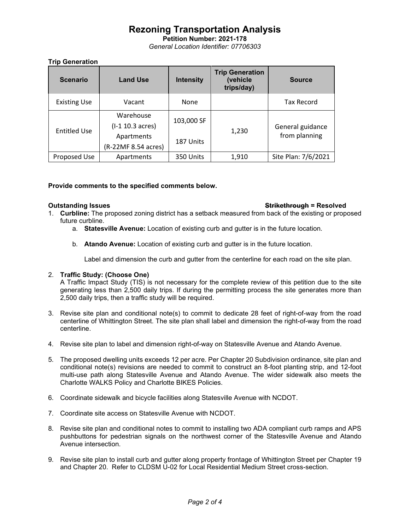**Petition Number: 2021-178** *General Location Identifier: 07706303*

## **Trip Generation**

| <b>Scenario</b>     | <b>Land Use</b>                   | <b>Intensity</b> | <b>Trip Generation</b><br>(vehicle<br>trips/day) | <b>Source</b>                     |
|---------------------|-----------------------------------|------------------|--------------------------------------------------|-----------------------------------|
| <b>Existing Use</b> | Vacant                            | None             |                                                  | <b>Tax Record</b>                 |
| <b>Entitled Use</b> | Warehouse<br>$(I-1 10.3 acres)$   | 103,000 SF       | 1,230                                            | General guidance<br>from planning |
|                     | Apartments<br>(R-22MF 8.54 acres) | 187 Units        |                                                  |                                   |
| Proposed Use        | Apartments                        | 350 Units        | 1,910                                            | Site Plan: 7/6/2021               |

## **Provide comments to the specified comments below.**

### **Outstanding Issues Strikethrough = Resolved**

- 1. **Curbline:** The proposed zoning district has a setback measured from back of the existing or proposed future curbline.
	- a. **Statesville Avenue:** Location of existing curb and gutter is in the future location.
	- b. **Atando Avenue:** Location of existing curb and gutter is in the future location.

Label and dimension the curb and gutter from the centerline for each road on the site plan.

## 2. **Traffic Study: (Choose One)**

A Traffic Impact Study (TIS) is not necessary for the complete review of this petition due to the site generating less than 2,500 daily trips. If during the permitting process the site generates more than 2,500 daily trips, then a traffic study will be required.

- 3. Revise site plan and conditional note(s) to commit to dedicate 28 feet of right-of-way from the road centerline of Whittington Street. The site plan shall label and dimension the right-of-way from the road centerline.
- 4. Revise site plan to label and dimension right-of-way on Statesville Avenue and Atando Avenue.
- 5. The proposed dwelling units exceeds 12 per acre. Per Chapter 20 Subdivision ordinance, site plan and conditional note(s) revisions are needed to commit to construct an 8-foot planting strip, and 12-foot multi-use path along Statesville Avenue and Atando Avenue. The wider sidewalk also meets the Charlotte WALKS Policy and Charlotte BIKES Policies.
- 6. Coordinate sidewalk and bicycle facilities along Statesville Avenue with NCDOT.
- 7. Coordinate site access on Statesville Avenue with NCDOT.
- 8. Revise site plan and conditional notes to commit to installing two ADA compliant curb ramps and APS pushbuttons for pedestrian signals on the northwest corner of the Statesville Avenue and Atando Avenue intersection.
- 9. Revise site plan to install curb and gutter along property frontage of Whittington Street per Chapter 19 and Chapter 20. Refer to CLDSM U-02 for Local Residential Medium Street cross-section.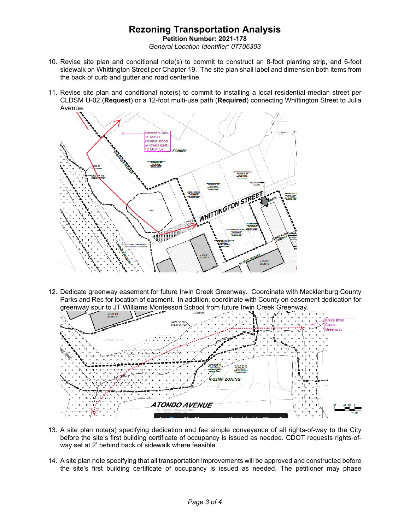**Petition Number: 2021-178** *General Location Identifier: 07706303*

- 10. Revise site plan and conditional note(s) to commit to construct an 8-foot planting strip, and 6-foot sidewalk on Whittington Street per Chapter 19. The site plan shall label and dimension both items from the back of curb and gutter and road centerline.
- 11. Revise site plan and conditional note(s) to commit to installing a local residential median street per CLDSM U-02 (**Request**) or a 12-foot multi-use path (**Required**) connecting Whittington Street to Julia Avenue.



12. Dedicate greenway easement for future Irwin Creek Greenway. Coordinate with Mecklenburg County Parks and Rec for location of easment. In addition, coordinate with County on easement dedication for greenway spur to JT Williams Montessori School from future Irwin Creek Greenway.



- 13. A site plan note(s) specifying dedication and fee simple conveyance of all rights-of-way to the City before the site's first building certificate of occupancy is issued as needed. CDOT requests rights-ofway set at 2' behind back of sidewalk where feasible.
- 14. A site plan note specifying that all transportation improvements will be approved and constructed before the site's first building certificate of occupancy is issued as needed. The petitioner may phase